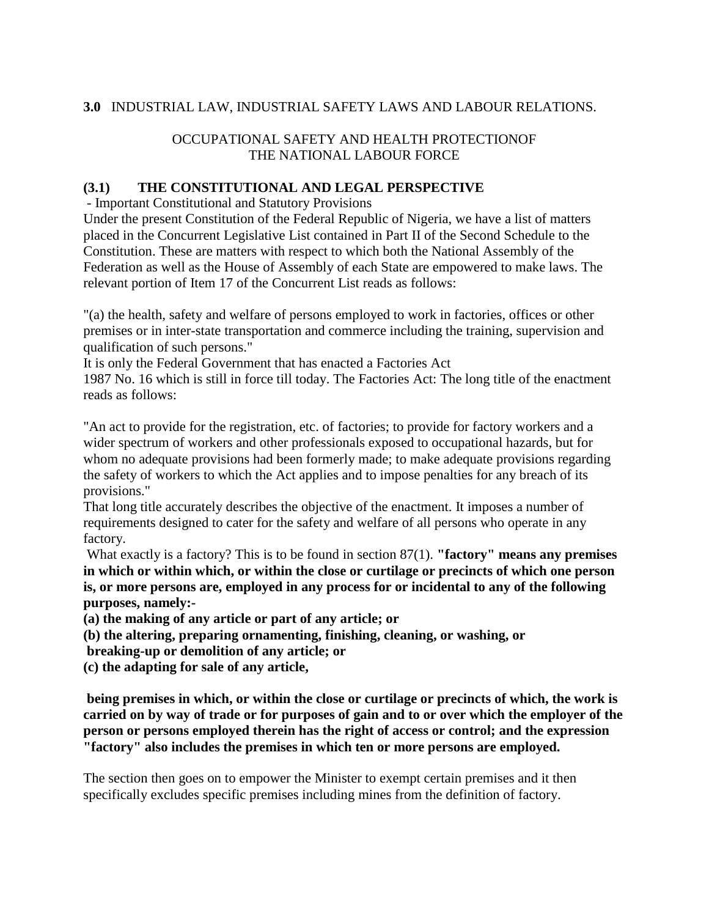### **3.0** INDUSTRIAL LAW, INDUSTRIAL SAFETY LAWS AND LABOUR RELATIONS.

### OCCUPATIONAL SAFETY AND HEALTH PROTECTIONOF THE NATIONAL LABOUR FORCE

#### **(3.1) THE CONSTITUTIONAL AND LEGAL PERSPECTIVE**

- Important Constitutional and Statutory Provisions

Under the present Constitution of the Federal Republic of Nigeria, we have a list of matters placed in the Concurrent Legislative List contained in Part II of the Second Schedule to the Constitution. These are matters with respect to which both the National Assembly of the Federation as well as the House of Assembly of each State are empowered to make laws. The relevant portion of Item 17 of the Concurrent List reads as follows:

"(a) the health, safety and welfare of persons employed to work in factories, offices or other premises or in inter-state transportation and commerce including the training, supervision and qualification of such persons."

It is only the Federal Government that has enacted a Factories Act

1987 No. 16 which is still in force till today. The Factories Act: The long title of the enactment reads as follows:

"An act to provide for the registration, etc. of factories; to provide for factory workers and a wider spectrum of workers and other professionals exposed to occupational hazards, but for whom no adequate provisions had been formerly made; to make adequate provisions regarding the safety of workers to which the Act applies and to impose penalties for any breach of its provisions."

That long title accurately describes the objective of the enactment. It imposes a number of requirements designed to cater for the safety and welfare of all persons who operate in any factory.

What exactly is a factory? This is to be found in section 87(1). **"factory" means any premises in which or within which, or within the close or curtilage or precincts of which one person is, or more persons are, employed in any process for or incidental to any of the following purposes, namely:-**

**(a) the making of any article or part of any article; or**

**(b) the altering, preparing ornamenting, finishing, cleaning, or washing, or**

**breaking-up or demolition of any article; or**

**(c) the adapting for sale of any article,**

**being premises in which, or within the close or curtilage or precincts of which, the work is carried on by way of trade or for purposes of gain and to or over which the employer of the person or persons employed therein has the right of access or control; and the expression "factory" also includes the premises in which ten or more persons are employed.**

The section then goes on to empower the Minister to exempt certain premises and it then specifically excludes specific premises including mines from the definition of factory.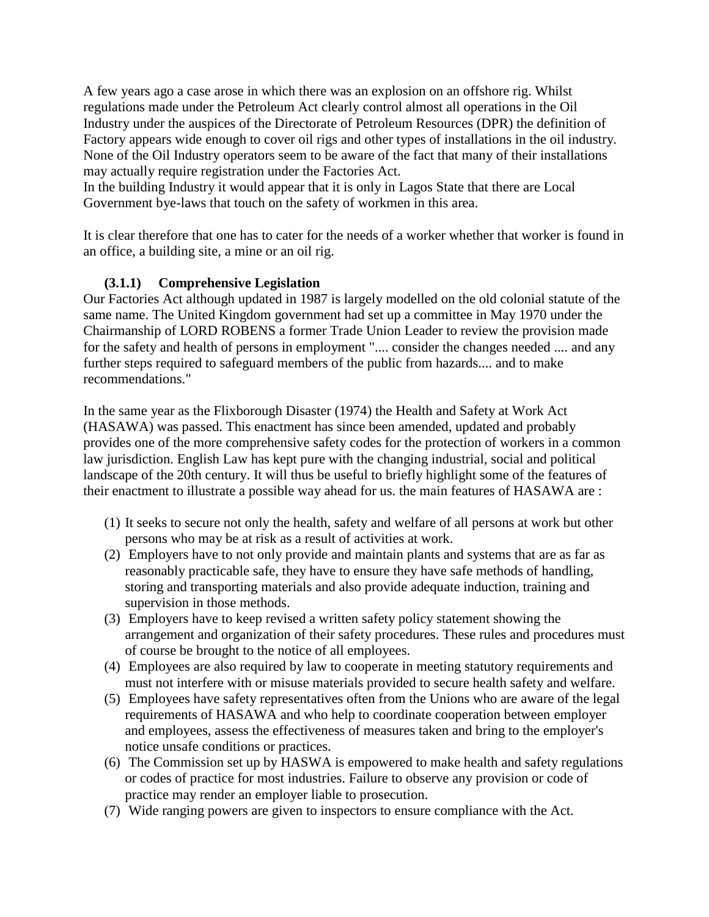A few years ago a case arose in which there was an explosion on an offshore rig. Whilst regulations made under the Petroleum Act clearly control almost all operations in the Oil Industry under the auspices of the Directorate of Petroleum Resources (DPR) the definition of Factory appears wide enough to cover oil rigs and other types of installations in the oil industry. None of the Oil Industry operators seem to be aware of the fact that many of their installations may actually require registration under the Factories Act.

In the building Industry it would appear that it is only in Lagos State that there are Local Government bye-laws that touch on the safety of workmen in this area.

It is clear therefore that one has to cater for the needs of a worker whether that worker is found in an office, a building site, a mine or an oil rig.

### **(3.1.1) Comprehensive Legislation**

Our Factories Act although updated in 1987 is largely modelled on the old colonial statute of the same name. The United Kingdom government had set up a committee in May 1970 under the Chairmanship of LORD ROBENS a former Trade Union Leader to review the provision made for the safety and health of persons in employment ".... consider the changes needed .... and any further steps required to safeguard members of the public from hazards.... and to make recommendations."

In the same year as the Flixborough Disaster (1974) the Health and Safety at Work Act (HASAWA) was passed. This enactment has since been amended, updated and probably provides one of the more comprehensive safety codes for the protection of workers in a common law jurisdiction. English Law has kept pure with the changing industrial, social and political landscape of the 20th century. It will thus be useful to briefly highlight some of the features of their enactment to illustrate a possible way ahead for us. the main features of HASAWA are :

- (1) It seeks to secure not only the health, safety and welfare of all persons at work but other persons who may be at risk as a result of activities at work.
- (2) Employers have to not only provide and maintain plants and systems that are as far as reasonably practicable safe, they have to ensure they have safe methods of handling, storing and transporting materials and also provide adequate induction, training and supervision in those methods.
- (3) Employers have to keep revised a written safety policy statement showing the arrangement and organization of their safety procedures. These rules and procedures must of course be brought to the notice of all employees.
- (4) Employees are also required by law to cooperate in meeting statutory requirements and must not interfere with or misuse materials provided to secure health safety and welfare.
- (5) Employees have safety representatives often from the Unions who are aware of the legal requirements of HASAWA and who help to coordinate cooperation between employer and employees, assess the effectiveness of measures taken and bring to the employer's notice unsafe conditions or practices.
- (6) The Commission set up by HASWA is empowered to make health and safety regulations or codes of practice for most industries. Failure to observe any provision or code of practice may render an employer liable to prosecution.
- (7) Wide ranging powers are given to inspectors to ensure compliance with the Act.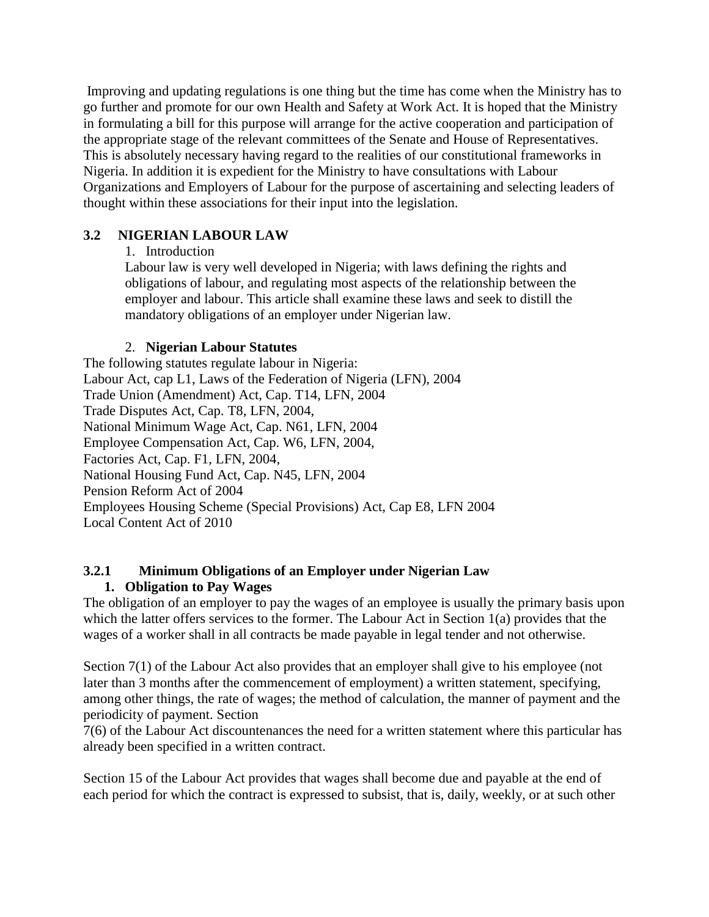Improving and updating regulations is one thing but the time has come when the Ministry has to go further and promote for our own Health and Safety at Work Act. It is hoped that the Ministry in formulating a bill for this purpose will arrange for the active cooperation and participation of the appropriate stage of the relevant committees of the Senate and House of Representatives. This is absolutely necessary having regard to the realities of our constitutional frameworks in Nigeria. In addition it is expedient for the Ministry to have consultations with Labour Organizations and Employers of Labour for the purpose of ascertaining and selecting leaders of thought within these associations for their input into the legislation.

### **3.2 NIGERIAN LABOUR LAW**

### 1. Introduction

Labour law is very well developed in Nigeria; with laws defining the rights and obligations of labour, and regulating most aspects of the relationship between the employer and labour. This article shall examine these laws and seek to distill the mandatory obligations of an employer under Nigerian law.

### 2. **Nigerian Labour Statutes**

The following statutes regulate labour in Nigeria: Labour Act, cap L1, Laws of the Federation of Nigeria (LFN), 2004 Trade Union (Amendment) Act, Cap. T14, LFN, 2004 Trade Disputes Act, Cap. T8, LFN, 2004, National Minimum Wage Act, Cap. N61, LFN, 2004 Employee Compensation Act, Cap. W6, LFN, 2004, Factories Act, Cap. F1, LFN, 2004, National Housing Fund Act, Cap. N45, LFN, 2004 Pension Reform Act of 2004 Employees Housing Scheme (Special Provisions) Act, Cap E8, LFN 2004 Local Content Act of 2010

#### **3.2.1 Minimum Obligations of an Employer under Nigerian Law 1. Obligation to Pay Wages**

The obligation of an employer to pay the wages of an employee is usually the primary basis upon which the latter offers services to the former. The Labour Act in Section 1(a) provides that the wages of a worker shall in all contracts be made payable in legal tender and not otherwise.

Section 7(1) of the Labour Act also provides that an employer shall give to his employee (not later than 3 months after the commencement of employment) a written statement, specifying, among other things, the rate of wages; the method of calculation, the manner of payment and the periodicity of payment. Section

7(6) of the Labour Act discountenances the need for a written statement where this particular has already been specified in a written contract.

Section 15 of the Labour Act provides that wages shall become due and payable at the end of each period for which the contract is expressed to subsist, that is, daily, weekly, or at such other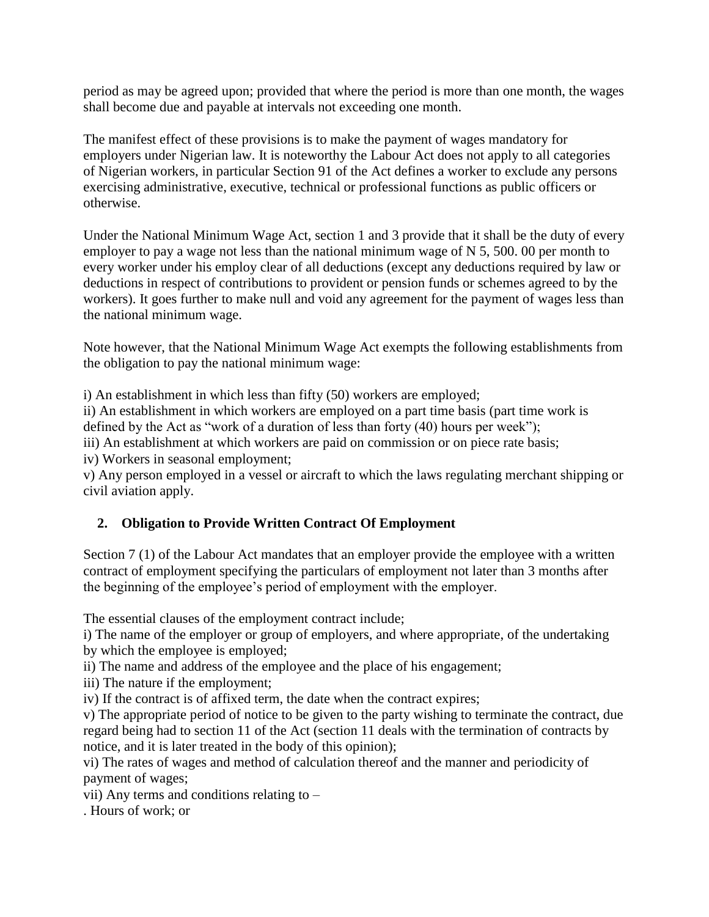period as may be agreed upon; provided that where the period is more than one month, the wages shall become due and payable at intervals not exceeding one month.

The manifest effect of these provisions is to make the payment of wages mandatory for employers under Nigerian law. It is noteworthy the Labour Act does not apply to all categories of Nigerian workers, in particular Section 91 of the Act defines a worker to exclude any persons exercising administrative, executive, technical or professional functions as public officers or otherwise.

Under the National Minimum Wage Act, section 1 and 3 provide that it shall be the duty of every employer to pay a wage not less than the national minimum wage of N 5, 500. 00 per month to every worker under his employ clear of all deductions (except any deductions required by law or deductions in respect of contributions to provident or pension funds or schemes agreed to by the workers). It goes further to make null and void any agreement for the payment of wages less than the national minimum wage.

Note however, that the National Minimum Wage Act exempts the following establishments from the obligation to pay the national minimum wage:

i) An establishment in which less than fifty (50) workers are employed;

ii) An establishment in which workers are employed on a part time basis (part time work is

defined by the Act as "work of a duration of less than forty (40) hours per week");

iii) An establishment at which workers are paid on commission or on piece rate basis;

iv) Workers in seasonal employment;

v) Any person employed in a vessel or aircraft to which the laws regulating merchant shipping or civil aviation apply.

### **2. Obligation to Provide Written Contract Of Employment**

Section 7 (1) of the Labour Act mandates that an employer provide the employee with a written contract of employment specifying the particulars of employment not later than 3 months after the beginning of the employee's period of employment with the employer.

The essential clauses of the employment contract include;

i) The name of the employer or group of employers, and where appropriate, of the undertaking by which the employee is employed;

ii) The name and address of the employee and the place of his engagement;

iii) The nature if the employment;

iv) If the contract is of affixed term, the date when the contract expires;

v) The appropriate period of notice to be given to the party wishing to terminate the contract, due regard being had to section 11 of the Act (section 11 deals with the termination of contracts by notice, and it is later treated in the body of this opinion);

vi) The rates of wages and method of calculation thereof and the manner and periodicity of payment of wages;

vii) Any terms and conditions relating to –

. Hours of work; or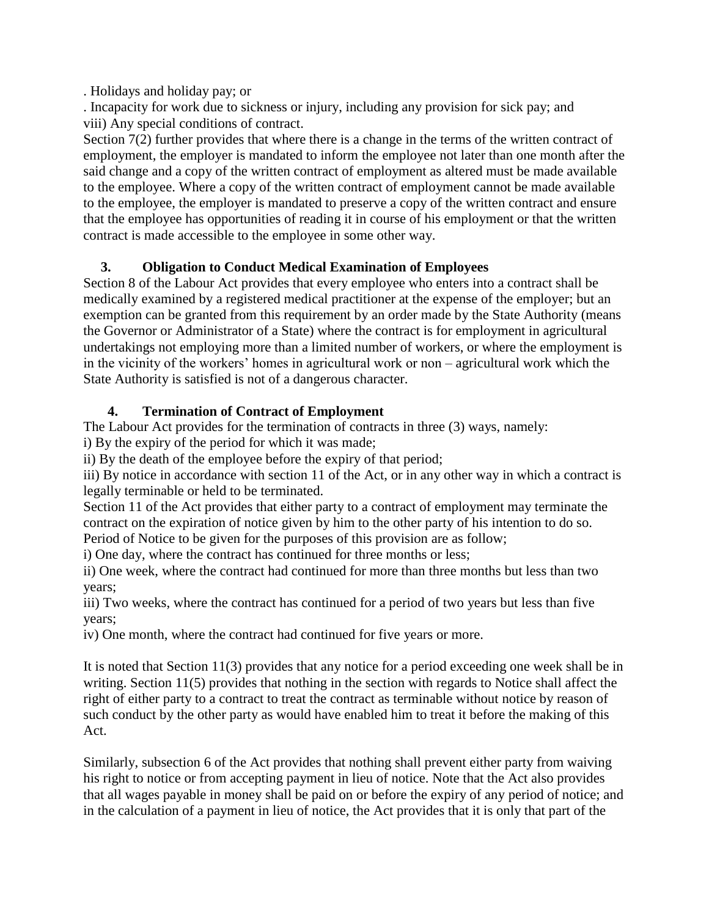. Holidays and holiday pay; or

. Incapacity for work due to sickness or injury, including any provision for sick pay; and viii) Any special conditions of contract.

Section 7(2) further provides that where there is a change in the terms of the written contract of employment, the employer is mandated to inform the employee not later than one month after the said change and a copy of the written contract of employment as altered must be made available to the employee. Where a copy of the written contract of employment cannot be made available to the employee, the employer is mandated to preserve a copy of the written contract and ensure that the employee has opportunities of reading it in course of his employment or that the written contract is made accessible to the employee in some other way.

# **3. Obligation to Conduct Medical Examination of Employees**

Section 8 of the Labour Act provides that every employee who enters into a contract shall be medically examined by a registered medical practitioner at the expense of the employer; but an exemption can be granted from this requirement by an order made by the State Authority (means the Governor or Administrator of a State) where the contract is for employment in agricultural undertakings not employing more than a limited number of workers, or where the employment is in the vicinity of the workers" homes in agricultural work or non – agricultural work which the State Authority is satisfied is not of a dangerous character.

# **4. Termination of Contract of Employment**

The Labour Act provides for the termination of contracts in three (3) ways, namely:

i) By the expiry of the period for which it was made;

ii) By the death of the employee before the expiry of that period;

iii) By notice in accordance with section 11 of the Act, or in any other way in which a contract is legally terminable or held to be terminated.

Section 11 of the Act provides that either party to a contract of employment may terminate the contract on the expiration of notice given by him to the other party of his intention to do so.

Period of Notice to be given for the purposes of this provision are as follow;

i) One day, where the contract has continued for three months or less;

ii) One week, where the contract had continued for more than three months but less than two years;

iii) Two weeks, where the contract has continued for a period of two years but less than five years;

iv) One month, where the contract had continued for five years or more.

It is noted that Section 11(3) provides that any notice for a period exceeding one week shall be in writing. Section 11(5) provides that nothing in the section with regards to Notice shall affect the right of either party to a contract to treat the contract as terminable without notice by reason of such conduct by the other party as would have enabled him to treat it before the making of this Act.

Similarly, subsection 6 of the Act provides that nothing shall prevent either party from waiving his right to notice or from accepting payment in lieu of notice. Note that the Act also provides that all wages payable in money shall be paid on or before the expiry of any period of notice; and in the calculation of a payment in lieu of notice, the Act provides that it is only that part of the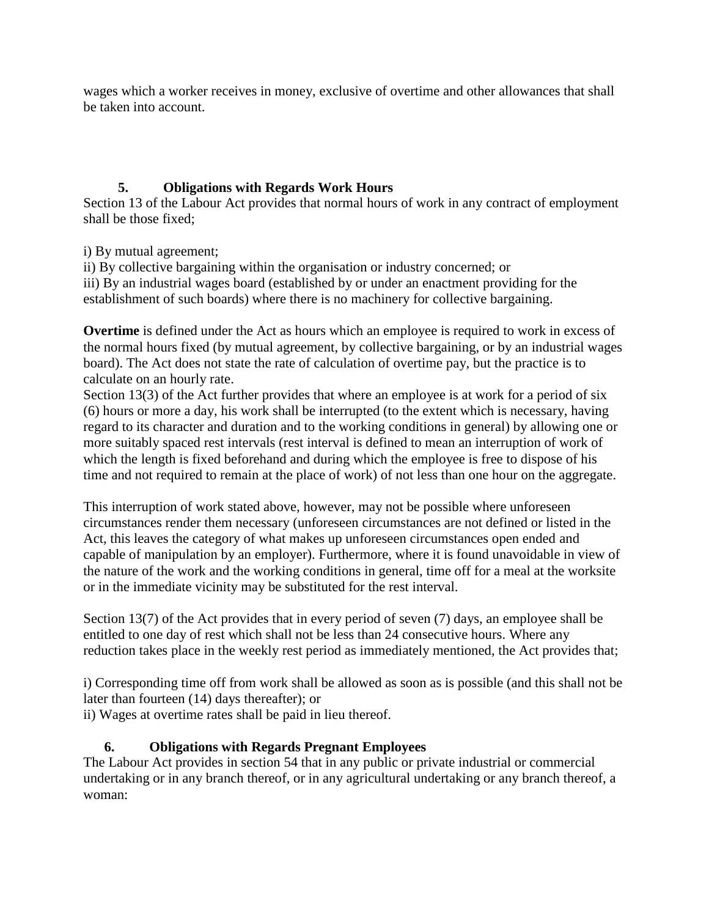wages which a worker receives in money, exclusive of overtime and other allowances that shall be taken into account.

# **5. Obligations with Regards Work Hours**

Section 13 of the Labour Act provides that normal hours of work in any contract of employment shall be those fixed;

i) By mutual agreement;

ii) By collective bargaining within the organisation or industry concerned; or iii) By an industrial wages board (established by or under an enactment providing for the establishment of such boards) where there is no machinery for collective bargaining.

**Overtime** is defined under the Act as hours which an employee is required to work in excess of the normal hours fixed (by mutual agreement, by collective bargaining, or by an industrial wages board). The Act does not state the rate of calculation of overtime pay, but the practice is to calculate on an hourly rate.

Section 13(3) of the Act further provides that where an employee is at work for a period of six (6) hours or more a day, his work shall be interrupted (to the extent which is necessary, having regard to its character and duration and to the working conditions in general) by allowing one or more suitably spaced rest intervals (rest interval is defined to mean an interruption of work of which the length is fixed beforehand and during which the employee is free to dispose of his time and not required to remain at the place of work) of not less than one hour on the aggregate.

This interruption of work stated above, however, may not be possible where unforeseen circumstances render them necessary (unforeseen circumstances are not defined or listed in the Act, this leaves the category of what makes up unforeseen circumstances open ended and capable of manipulation by an employer). Furthermore, where it is found unavoidable in view of the nature of the work and the working conditions in general, time off for a meal at the worksite or in the immediate vicinity may be substituted for the rest interval.

Section 13(7) of the Act provides that in every period of seven (7) days, an employee shall be entitled to one day of rest which shall not be less than 24 consecutive hours. Where any reduction takes place in the weekly rest period as immediately mentioned, the Act provides that;

i) Corresponding time off from work shall be allowed as soon as is possible (and this shall not be later than fourteen (14) days thereafter); or

ii) Wages at overtime rates shall be paid in lieu thereof.

## **6. Obligations with Regards Pregnant Employees**

The Labour Act provides in section 54 that in any public or private industrial or commercial undertaking or in any branch thereof, or in any agricultural undertaking or any branch thereof, a woman: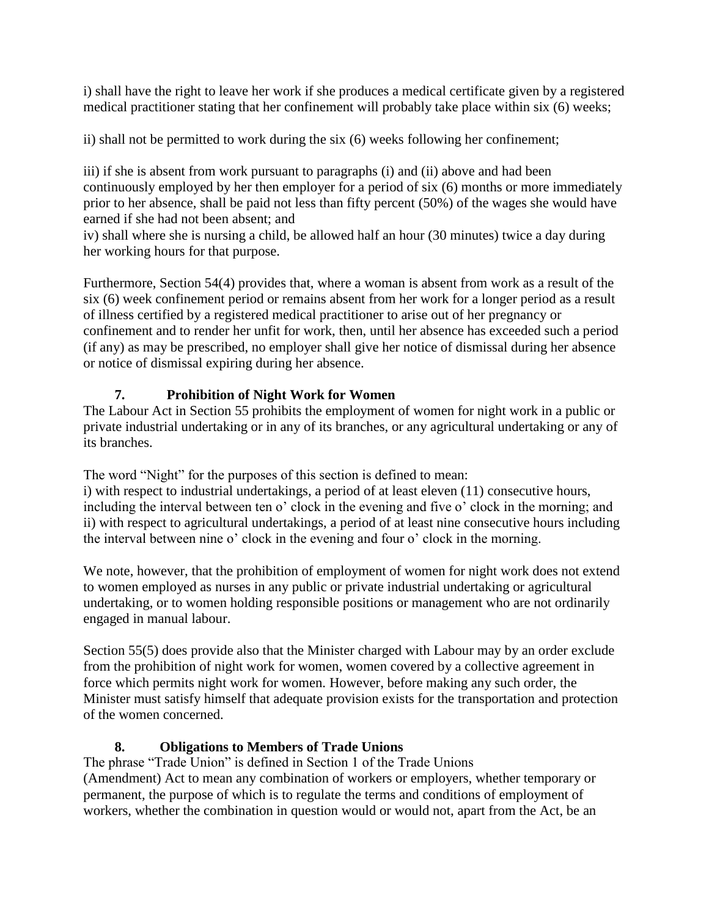i) shall have the right to leave her work if she produces a medical certificate given by a registered medical practitioner stating that her confinement will probably take place within six (6) weeks;

ii) shall not be permitted to work during the six (6) weeks following her confinement;

iii) if she is absent from work pursuant to paragraphs (i) and (ii) above and had been continuously employed by her then employer for a period of six (6) months or more immediately prior to her absence, shall be paid not less than fifty percent (50%) of the wages she would have earned if she had not been absent; and

iv) shall where she is nursing a child, be allowed half an hour (30 minutes) twice a day during her working hours for that purpose.

Furthermore, Section 54(4) provides that, where a woman is absent from work as a result of the six (6) week confinement period or remains absent from her work for a longer period as a result of illness certified by a registered medical practitioner to arise out of her pregnancy or confinement and to render her unfit for work, then, until her absence has exceeded such a period (if any) as may be prescribed, no employer shall give her notice of dismissal during her absence or notice of dismissal expiring during her absence.

# **7. Prohibition of Night Work for Women**

The Labour Act in Section 55 prohibits the employment of women for night work in a public or private industrial undertaking or in any of its branches, or any agricultural undertaking or any of its branches.

The word "Night" for the purposes of this section is defined to mean:

i) with respect to industrial undertakings, a period of at least eleven (11) consecutive hours, including the interval between ten o' clock in the evening and five o' clock in the morning; and ii) with respect to agricultural undertakings, a period of at least nine consecutive hours including the interval between nine o' clock in the evening and four o' clock in the morning.

We note, however, that the prohibition of employment of women for night work does not extend to women employed as nurses in any public or private industrial undertaking or agricultural undertaking, or to women holding responsible positions or management who are not ordinarily engaged in manual labour.

Section 55(5) does provide also that the Minister charged with Labour may by an order exclude from the prohibition of night work for women, women covered by a collective agreement in force which permits night work for women. However, before making any such order, the Minister must satisfy himself that adequate provision exists for the transportation and protection of the women concerned.

# **8. Obligations to Members of Trade Unions**

The phrase "Trade Union" is defined in Section 1 of the Trade Unions (Amendment) Act to mean any combination of workers or employers, whether temporary or permanent, the purpose of which is to regulate the terms and conditions of employment of workers, whether the combination in question would or would not, apart from the Act, be an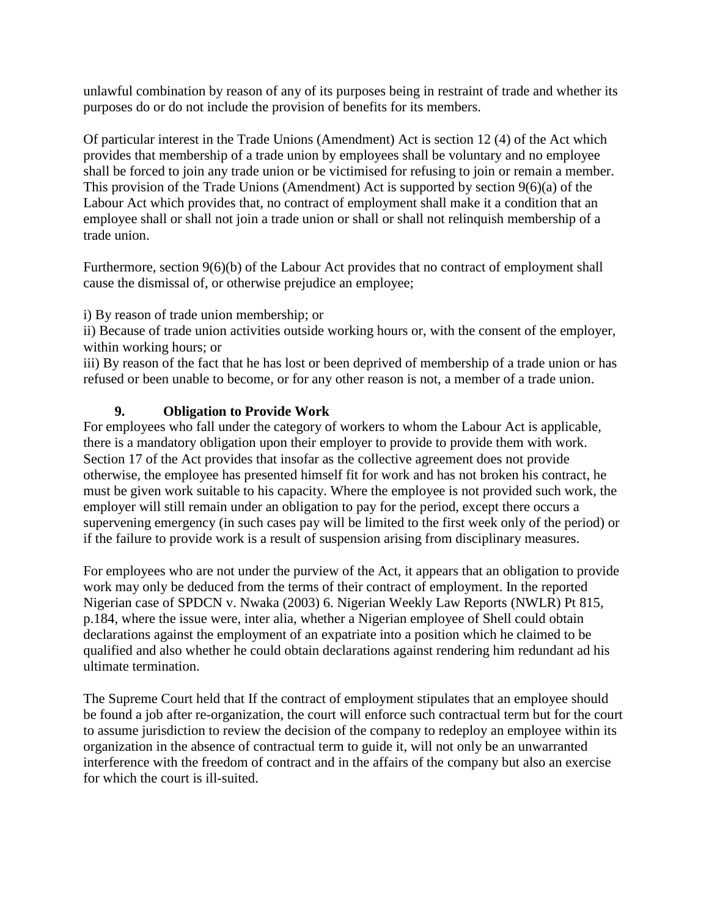unlawful combination by reason of any of its purposes being in restraint of trade and whether its purposes do or do not include the provision of benefits for its members.

Of particular interest in the Trade Unions (Amendment) Act is section 12 (4) of the Act which provides that membership of a trade union by employees shall be voluntary and no employee shall be forced to join any trade union or be victimised for refusing to join or remain a member. This provision of the Trade Unions (Amendment) Act is supported by section 9(6)(a) of the Labour Act which provides that, no contract of employment shall make it a condition that an employee shall or shall not join a trade union or shall or shall not relinquish membership of a trade union.

Furthermore, section 9(6)(b) of the Labour Act provides that no contract of employment shall cause the dismissal of, or otherwise prejudice an employee;

i) By reason of trade union membership; or

ii) Because of trade union activities outside working hours or, with the consent of the employer, within working hours; or

iii) By reason of the fact that he has lost or been deprived of membership of a trade union or has refused or been unable to become, or for any other reason is not, a member of a trade union.

## **9. Obligation to Provide Work**

For employees who fall under the category of workers to whom the Labour Act is applicable, there is a mandatory obligation upon their employer to provide to provide them with work. Section 17 of the Act provides that insofar as the collective agreement does not provide otherwise, the employee has presented himself fit for work and has not broken his contract, he must be given work suitable to his capacity. Where the employee is not provided such work, the employer will still remain under an obligation to pay for the period, except there occurs a supervening emergency (in such cases pay will be limited to the first week only of the period) or if the failure to provide work is a result of suspension arising from disciplinary measures.

For employees who are not under the purview of the Act, it appears that an obligation to provide work may only be deduced from the terms of their contract of employment. In the reported Nigerian case of SPDCN v. Nwaka (2003) 6. Nigerian Weekly Law Reports (NWLR) Pt 815, p.184, where the issue were, inter alia, whether a Nigerian employee of Shell could obtain declarations against the employment of an expatriate into a position which he claimed to be qualified and also whether he could obtain declarations against rendering him redundant ad his ultimate termination.

The Supreme Court held that If the contract of employment stipulates that an employee should be found a job after re-organization, the court will enforce such contractual term but for the court to assume jurisdiction to review the decision of the company to redeploy an employee within its organization in the absence of contractual term to guide it, will not only be an unwarranted interference with the freedom of contract and in the affairs of the company but also an exercise for which the court is ill-suited.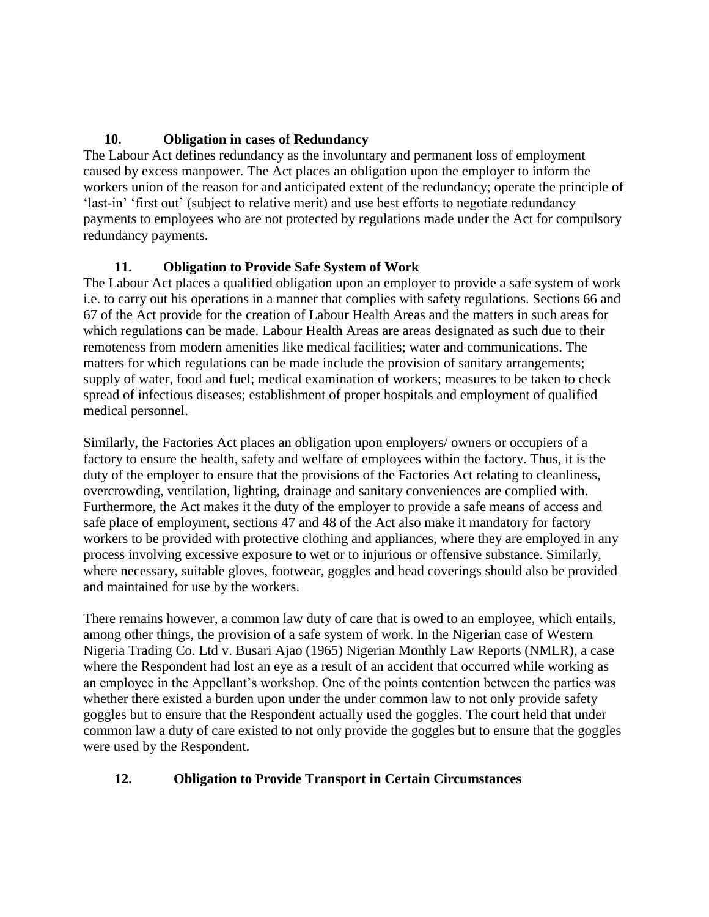### **10. Obligation in cases of Redundancy**

The Labour Act defines redundancy as the involuntary and permanent loss of employment caused by excess manpower. The Act places an obligation upon the employer to inform the workers union of the reason for and anticipated extent of the redundancy; operate the principle of 'last-in' 'first out' (subject to relative merit) and use best efforts to negotiate redundancy payments to employees who are not protected by regulations made under the Act for compulsory redundancy payments.

### **11. Obligation to Provide Safe System of Work**

The Labour Act places a qualified obligation upon an employer to provide a safe system of work i.e. to carry out his operations in a manner that complies with safety regulations. Sections 66 and 67 of the Act provide for the creation of Labour Health Areas and the matters in such areas for which regulations can be made. Labour Health Areas are areas designated as such due to their remoteness from modern amenities like medical facilities; water and communications. The matters for which regulations can be made include the provision of sanitary arrangements; supply of water, food and fuel; medical examination of workers; measures to be taken to check spread of infectious diseases; establishment of proper hospitals and employment of qualified medical personnel.

Similarly, the Factories Act places an obligation upon employers/ owners or occupiers of a factory to ensure the health, safety and welfare of employees within the factory. Thus, it is the duty of the employer to ensure that the provisions of the Factories Act relating to cleanliness, overcrowding, ventilation, lighting, drainage and sanitary conveniences are complied with. Furthermore, the Act makes it the duty of the employer to provide a safe means of access and safe place of employment, sections 47 and 48 of the Act also make it mandatory for factory workers to be provided with protective clothing and appliances, where they are employed in any process involving excessive exposure to wet or to injurious or offensive substance. Similarly, where necessary, suitable gloves, footwear, goggles and head coverings should also be provided and maintained for use by the workers.

There remains however, a common law duty of care that is owed to an employee, which entails, among other things, the provision of a safe system of work. In the Nigerian case of Western Nigeria Trading Co. Ltd v. Busari Ajao (1965) Nigerian Monthly Law Reports (NMLR), a case where the Respondent had lost an eye as a result of an accident that occurred while working as an employee in the Appellant"s workshop. One of the points contention between the parties was whether there existed a burden upon under the under common law to not only provide safety goggles but to ensure that the Respondent actually used the goggles. The court held that under common law a duty of care existed to not only provide the goggles but to ensure that the goggles were used by the Respondent.

## **12. Obligation to Provide Transport in Certain Circumstances**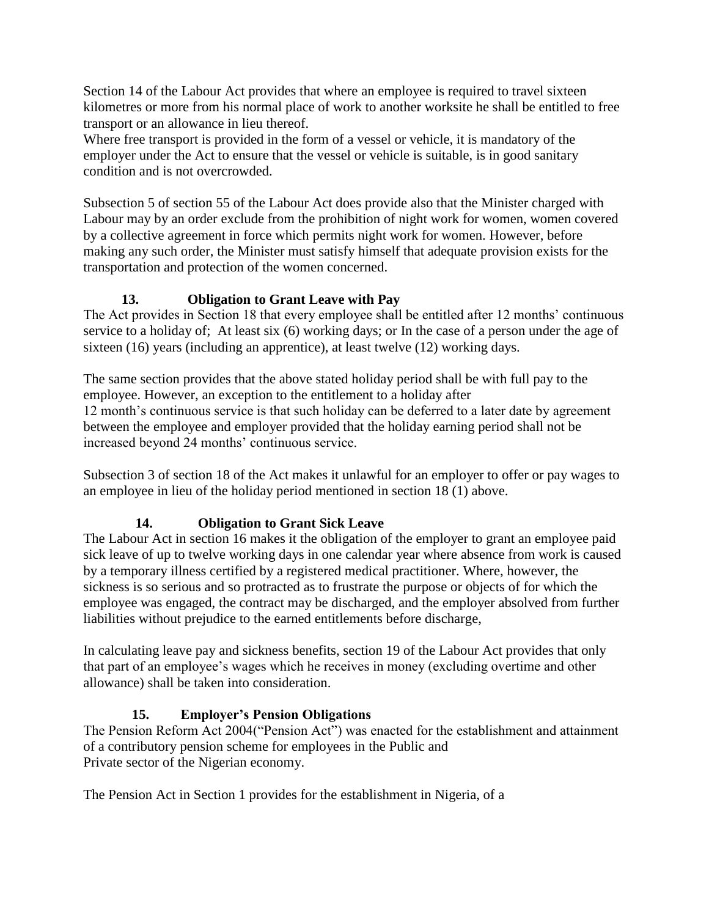Section 14 of the Labour Act provides that where an employee is required to travel sixteen kilometres or more from his normal place of work to another worksite he shall be entitled to free transport or an allowance in lieu thereof.

Where free transport is provided in the form of a vessel or vehicle, it is mandatory of the employer under the Act to ensure that the vessel or vehicle is suitable, is in good sanitary condition and is not overcrowded.

Subsection 5 of section 55 of the Labour Act does provide also that the Minister charged with Labour may by an order exclude from the prohibition of night work for women, women covered by a collective agreement in force which permits night work for women. However, before making any such order, the Minister must satisfy himself that adequate provision exists for the transportation and protection of the women concerned.

## **13. Obligation to Grant Leave with Pay**

The Act provides in Section 18 that every employee shall be entitled after 12 months' continuous service to a holiday of; At least six (6) working days; or In the case of a person under the age of sixteen (16) years (including an apprentice), at least twelve (12) working days.

The same section provides that the above stated holiday period shall be with full pay to the employee. However, an exception to the entitlement to a holiday after 12 month"s continuous service is that such holiday can be deferred to a later date by agreement between the employee and employer provided that the holiday earning period shall not be increased beyond 24 months' continuous service.

Subsection 3 of section 18 of the Act makes it unlawful for an employer to offer or pay wages to an employee in lieu of the holiday period mentioned in section 18 (1) above.

## **14. Obligation to Grant Sick Leave**

The Labour Act in section 16 makes it the obligation of the employer to grant an employee paid sick leave of up to twelve working days in one calendar year where absence from work is caused by a temporary illness certified by a registered medical practitioner. Where, however, the sickness is so serious and so protracted as to frustrate the purpose or objects of for which the employee was engaged, the contract may be discharged, and the employer absolved from further liabilities without prejudice to the earned entitlements before discharge,

In calculating leave pay and sickness benefits, section 19 of the Labour Act provides that only that part of an employee"s wages which he receives in money (excluding overtime and other allowance) shall be taken into consideration.

# **15. Employer's Pension Obligations**

The Pension Reform Act 2004("Pension Act") was enacted for the establishment and attainment of a contributory pension scheme for employees in the Public and Private sector of the Nigerian economy.

The Pension Act in Section 1 provides for the establishment in Nigeria, of a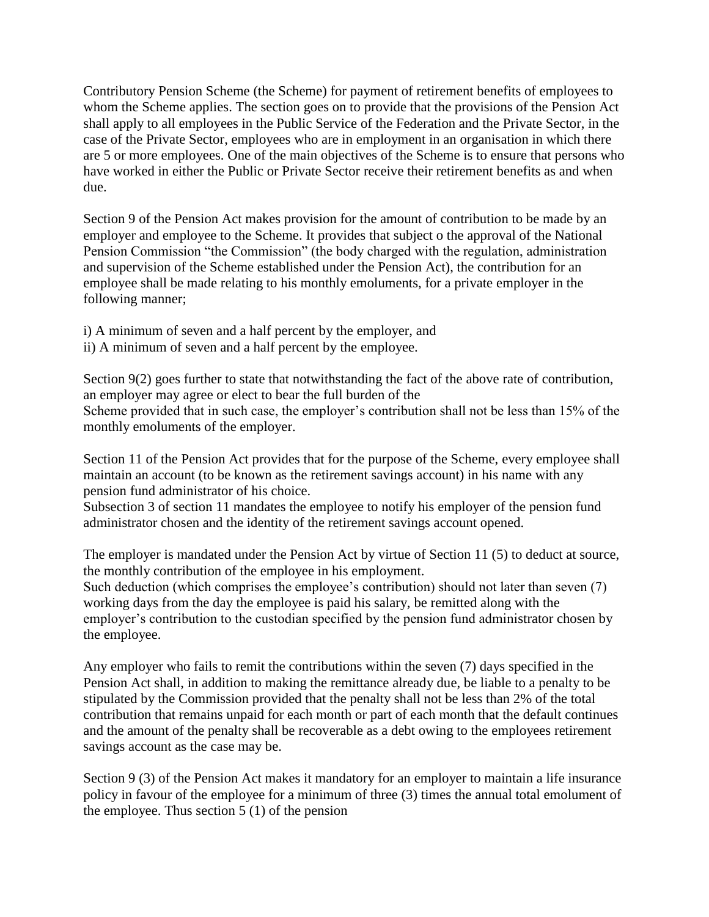Contributory Pension Scheme (the Scheme) for payment of retirement benefits of employees to whom the Scheme applies. The section goes on to provide that the provisions of the Pension Act shall apply to all employees in the Public Service of the Federation and the Private Sector, in the case of the Private Sector, employees who are in employment in an organisation in which there are 5 or more employees. One of the main objectives of the Scheme is to ensure that persons who have worked in either the Public or Private Sector receive their retirement benefits as and when due.

Section 9 of the Pension Act makes provision for the amount of contribution to be made by an employer and employee to the Scheme. It provides that subject o the approval of the National Pension Commission "the Commission" (the body charged with the regulation, administration and supervision of the Scheme established under the Pension Act), the contribution for an employee shall be made relating to his monthly emoluments, for a private employer in the following manner;

- i) A minimum of seven and a half percent by the employer, and
- ii) A minimum of seven and a half percent by the employee.

Section 9(2) goes further to state that notwithstanding the fact of the above rate of contribution, an employer may agree or elect to bear the full burden of the Scheme provided that in such case, the employer's contribution shall not be less than 15% of the monthly emoluments of the employer.

Section 11 of the Pension Act provides that for the purpose of the Scheme, every employee shall maintain an account (to be known as the retirement savings account) in his name with any pension fund administrator of his choice.

Subsection 3 of section 11 mandates the employee to notify his employer of the pension fund administrator chosen and the identity of the retirement savings account opened.

The employer is mandated under the Pension Act by virtue of Section 11 (5) to deduct at source, the monthly contribution of the employee in his employment.

Such deduction (which comprises the employee's contribution) should not later than seven (7) working days from the day the employee is paid his salary, be remitted along with the employer's contribution to the custodian specified by the pension fund administrator chosen by the employee.

Any employer who fails to remit the contributions within the seven (7) days specified in the Pension Act shall, in addition to making the remittance already due, be liable to a penalty to be stipulated by the Commission provided that the penalty shall not be less than 2% of the total contribution that remains unpaid for each month or part of each month that the default continues and the amount of the penalty shall be recoverable as a debt owing to the employees retirement savings account as the case may be.

Section 9 (3) of the Pension Act makes it mandatory for an employer to maintain a life insurance policy in favour of the employee for a minimum of three (3) times the annual total emolument of the employee. Thus section 5 (1) of the pension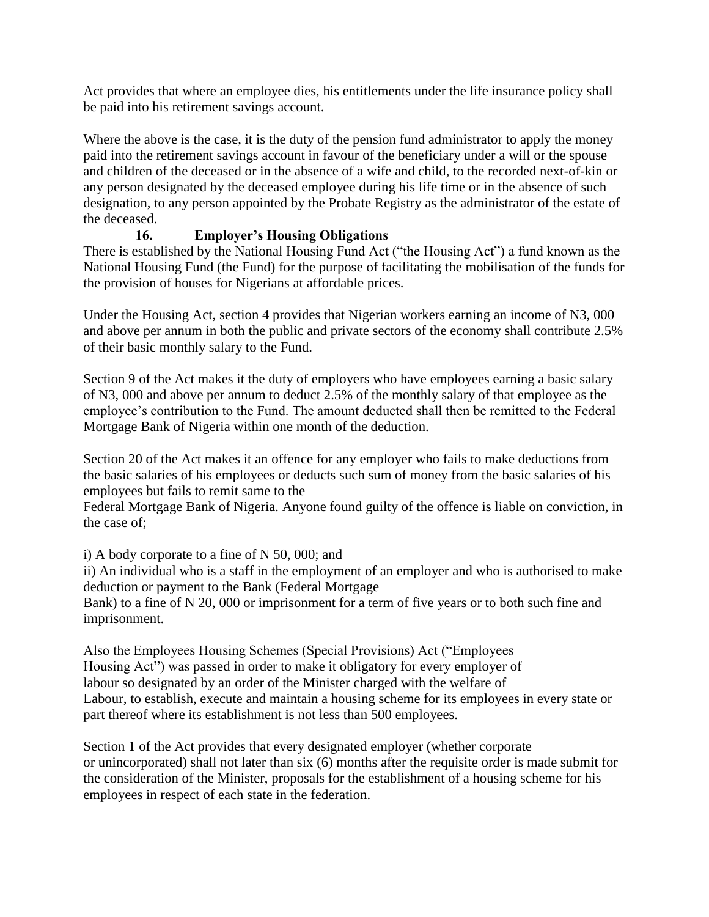Act provides that where an employee dies, his entitlements under the life insurance policy shall be paid into his retirement savings account.

Where the above is the case, it is the duty of the pension fund administrator to apply the money paid into the retirement savings account in favour of the beneficiary under a will or the spouse and children of the deceased or in the absence of a wife and child, to the recorded next-of-kin or any person designated by the deceased employee during his life time or in the absence of such designation, to any person appointed by the Probate Registry as the administrator of the estate of the deceased.

# **16. Employer's Housing Obligations**

There is established by the National Housing Fund Act ("the Housing Act") a fund known as the National Housing Fund (the Fund) for the purpose of facilitating the mobilisation of the funds for the provision of houses for Nigerians at affordable prices.

Under the Housing Act, section 4 provides that Nigerian workers earning an income of N3, 000 and above per annum in both the public and private sectors of the economy shall contribute 2.5% of their basic monthly salary to the Fund.

Section 9 of the Act makes it the duty of employers who have employees earning a basic salary of N3, 000 and above per annum to deduct 2.5% of the monthly salary of that employee as the employee"s contribution to the Fund. The amount deducted shall then be remitted to the Federal Mortgage Bank of Nigeria within one month of the deduction.

Section 20 of the Act makes it an offence for any employer who fails to make deductions from the basic salaries of his employees or deducts such sum of money from the basic salaries of his employees but fails to remit same to the

Federal Mortgage Bank of Nigeria. Anyone found guilty of the offence is liable on conviction, in the case of;

i) A body corporate to a fine of N 50, 000; and

ii) An individual who is a staff in the employment of an employer and who is authorised to make deduction or payment to the Bank (Federal Mortgage

Bank) to a fine of N 20, 000 or imprisonment for a term of five years or to both such fine and imprisonment.

Also the Employees Housing Schemes (Special Provisions) Act ("Employees Housing Act") was passed in order to make it obligatory for every employer of labour so designated by an order of the Minister charged with the welfare of Labour, to establish, execute and maintain a housing scheme for its employees in every state or part thereof where its establishment is not less than 500 employees.

Section 1 of the Act provides that every designated employer (whether corporate or unincorporated) shall not later than six (6) months after the requisite order is made submit for the consideration of the Minister, proposals for the establishment of a housing scheme for his employees in respect of each state in the federation.